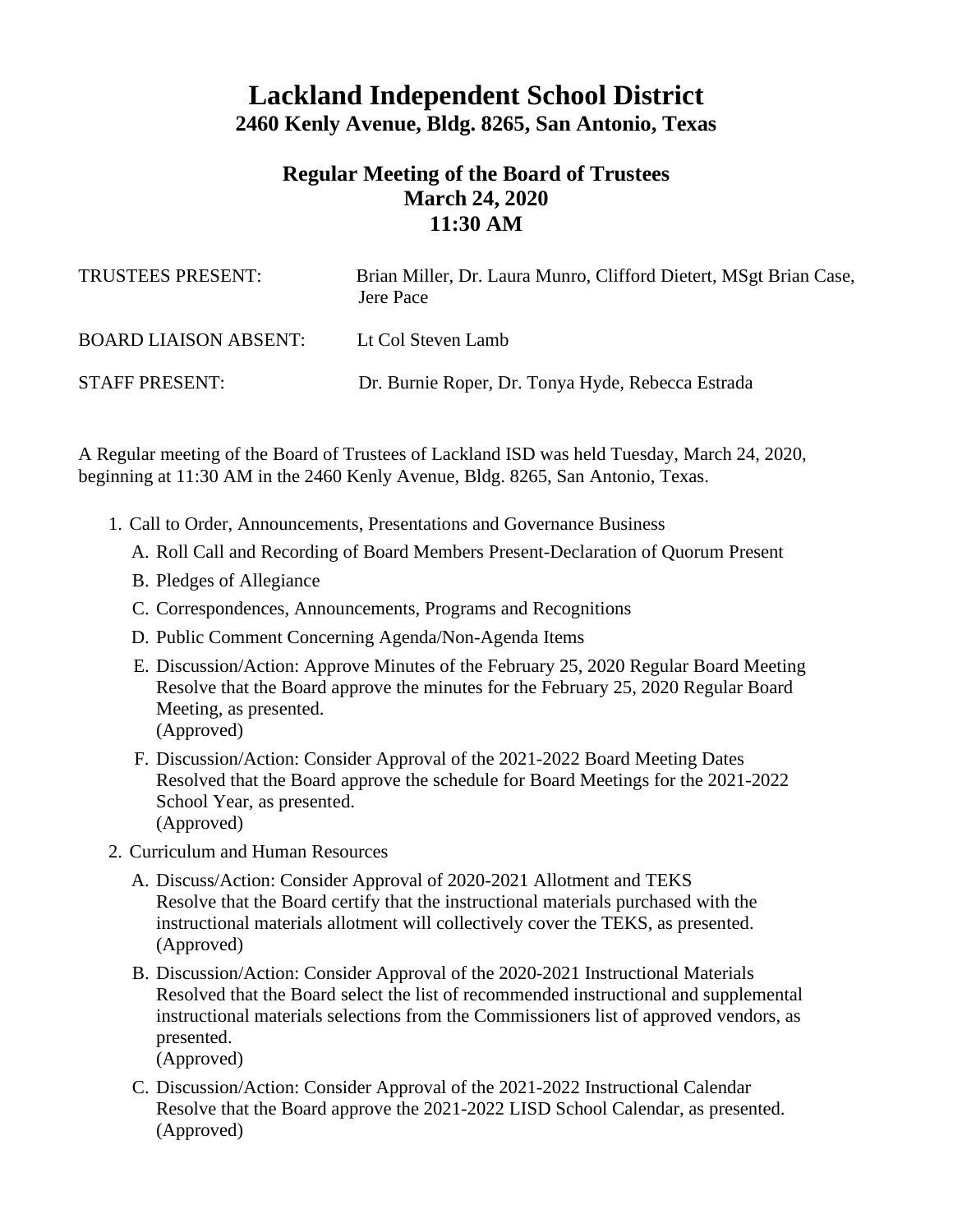## **Lackland Independent School District 2460 Kenly Avenue, Bldg. 8265, San Antonio, Texas**

## **Regular Meeting of the Board of Trustees March 24, 2020 11:30 AM**

| TRUSTEES PRESENT:            | Brian Miller, Dr. Laura Munro, Clifford Dietert, MSgt Brian Case,<br>Jere Pace |
|------------------------------|--------------------------------------------------------------------------------|
| <b>BOARD LIAISON ABSENT:</b> | Lt Col Steven Lamb                                                             |
| <b>STAFF PRESENT:</b>        | Dr. Burnie Roper, Dr. Tonya Hyde, Rebecca Estrada                              |

A Regular meeting of the Board of Trustees of Lackland ISD was held Tuesday, March 24, 2020, beginning at 11:30 AM in the 2460 Kenly Avenue, Bldg. 8265, San Antonio, Texas.

- 1. Call to Order, Announcements, Presentations and Governance Business
	- A. Roll Call and Recording of Board Members Present-Declaration of Quorum Present
	- B. Pledges of Allegiance
	- C. Correspondences, Announcements, Programs and Recognitions
	- D. Public Comment Concerning Agenda/Non-Agenda Items
	- E. Discussion/Action: Approve Minutes of the February 25, 2020 Regular Board Meeting Resolve that the Board approve the minutes for the February 25, 2020 Regular Board Meeting, as presented. (Approved)
	- F. Discussion/Action: Consider Approval of the 2021-2022 Board Meeting Dates Resolved that the Board approve the schedule for Board Meetings for the 2021-2022 School Year, as presented. (Approved)
- 2. Curriculum and Human Resources
	- A. Discuss/Action: Consider Approval of 2020-2021 Allotment and TEKS Resolve that the Board certify that the instructional materials purchased with the instructional materials allotment will collectively cover the TEKS, as presented. (Approved)
	- B. Discussion/Action: Consider Approval of the 2020-2021 Instructional Materials Resolved that the Board select the list of recommended instructional and supplemental instructional materials selections from the Commissioners list of approved vendors, as presented.

(Approved)

C. Discussion/Action: Consider Approval of the 2021-2022 Instructional Calendar Resolve that the Board approve the 2021-2022 LISD School Calendar, as presented. (Approved)